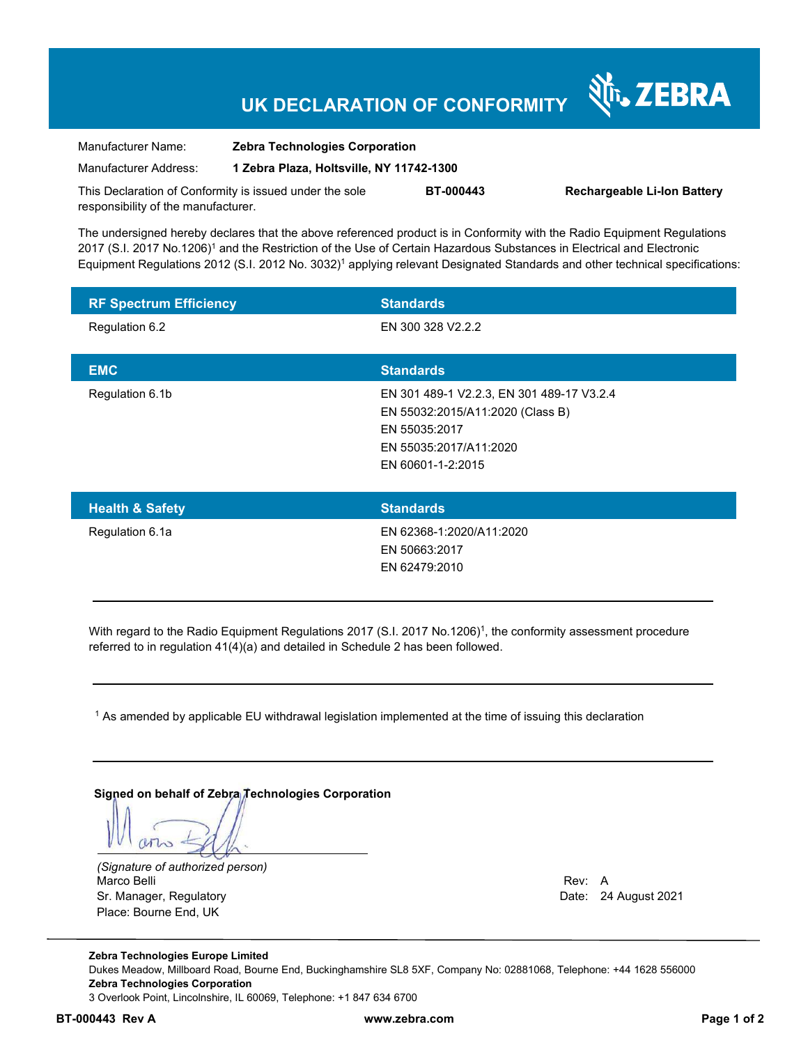## **UK DECLARATION OF CONFORMITY**

| Manufacturer Name:                                      | <b>Zebra Technologies Corporation</b>    |                  |                                    |
|---------------------------------------------------------|------------------------------------------|------------------|------------------------------------|
| Manufacturer Address:                                   | 1 Zebra Plaza, Holtsville, NY 11742-1300 |                  |                                    |
| This Declaration of Conformity is issued under the sole |                                          | <b>BT-000443</b> | <b>Rechargeable Li-Ion Battery</b> |
| responsibility of the manufacturer.                     |                                          |                  |                                    |

The undersigned hereby declares that the above referenced product is in Conformity with the Radio Equipment Regulations 2017 (S.I. 2017 No.1206)<sup>1</sup> and the Restriction of the Use of Certain Hazardous Substances in Electrical and Electronic Equipment Regulations 2012 (S.I. 2012 No. 3032)<sup>1</sup> applying relevant Designated Standards and other technical specifications:

| <b>RF Spectrum Efficiency</b> | <b>Standards</b>                          |
|-------------------------------|-------------------------------------------|
| Regulation 6.2                | EN 300 328 V2.2.2                         |
|                               |                                           |
| <b>EMC</b>                    | <b>Standards</b>                          |
| Regulation 6.1b               | EN 301 489-1 V2.2.3, EN 301 489-17 V3.2.4 |
|                               | EN 55032:2015/A11:2020 (Class B)          |
|                               | EN 55035:2017                             |
|                               | EN 55035:2017/A11:2020                    |
|                               | EN 60601-1-2:2015                         |
|                               |                                           |

| <b>Health &amp; Safety</b> | <b>Standards</b>         |
|----------------------------|--------------------------|
| Regulation 6.1a            | EN 62368-1:2020/A11:2020 |
|                            | EN 50663:2017            |
|                            | EN 62479:2010            |
|                            |                          |

With regard to the Radio Equipment Regulations 2017 (S.I. 2017 No.1206)<sup>1</sup>, the conformity assessment procedure referred to in regulation 41(4)(a) and detailed in Schedule 2 has been followed.

 $^{\rm 1}$  As amended by applicable EU withdrawal legislation implemented at the time of issuing this declaration

**Signed on behalf of Zebra Technologies Corporation** 

arto

*(Signature of authorized person)* Marco Belli Rev: A Annual Rev: A Annual Rev: A Annual Rev: A Annual Rev: A Annual Rev: A Annual Rev: A Annual Rev Sr. Manager, Regulatory **Date: 24 August 2021** Place: Bourne End, UK

N<sub>I</sub> ZEBRA

**Zebra Technologies Europe Limited**  Dukes Meadow, Millboard Road, Bourne End, Buckinghamshire SL8 5XF, Company No: 02881068, Telephone: +44 1628 556000 **Zebra Technologies Corporation**  3 Overlook Point, Lincolnshire, IL 60069, Telephone: +1 847 634 6700